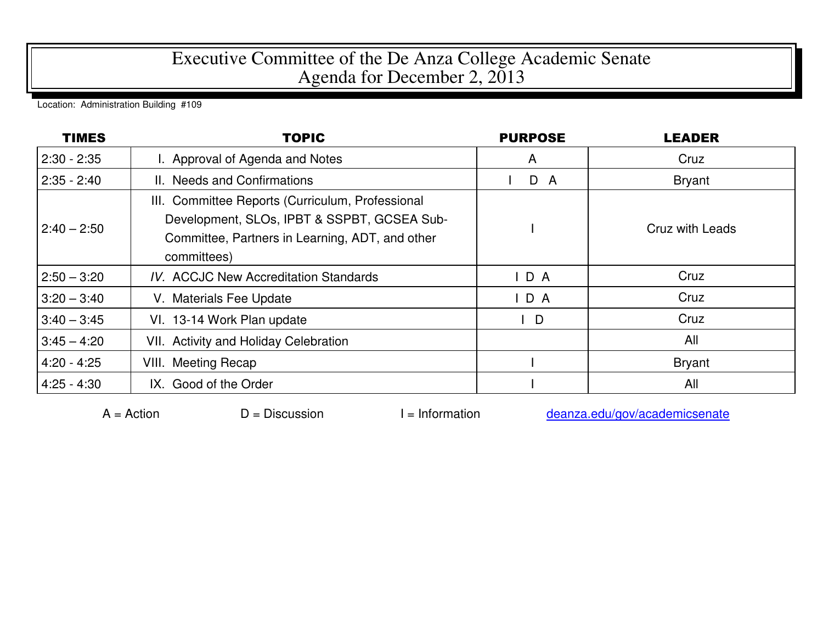## Executive Committee of the De Anza College Academic Senate Agenda for December 2, 2013

Location: Administration Building #109

| <b>TIMES</b>  | <b>TOPIC</b>                                                                                                                                                      | <b>PURPOSE</b> | <b>LEADER</b>   |
|---------------|-------------------------------------------------------------------------------------------------------------------------------------------------------------------|----------------|-----------------|
| $2:30 - 2:35$ | I. Approval of Agenda and Notes                                                                                                                                   | A              | Cruz            |
| $2:35 - 2:40$ | II. Needs and Confirmations                                                                                                                                       | D A            | <b>Bryant</b>   |
| $2:40 - 2:50$ | III. Committee Reports (Curriculum, Professional<br>Development, SLOs, IPBT & SSPBT, GCSEA Sub-<br>Committee, Partners in Learning, ADT, and other<br>committees) |                | Cruz with Leads |
| $2:50 - 3:20$ | <b>IV. ACCJC New Accreditation Standards</b>                                                                                                                      | IDA            | Cruz            |
| $3:20 - 3:40$ | V. Materials Fee Update                                                                                                                                           | IDA            | Cruz            |
| $3:40 - 3:45$ | VI. 13-14 Work Plan update                                                                                                                                        | D              | Cruz            |
| $3:45 - 4:20$ | VII. Activity and Holiday Celebration                                                                                                                             |                | All             |
| $4:20 - 4:25$ | <b>VIII. Meeting Recap</b>                                                                                                                                        |                | <b>Bryant</b>   |
| $4:25 - 4:30$ | IX. Good of the Order                                                                                                                                             |                | All             |

 $A =$ Action  $D =$  Discussion I = Information deanza.edu/gov/academicsenate